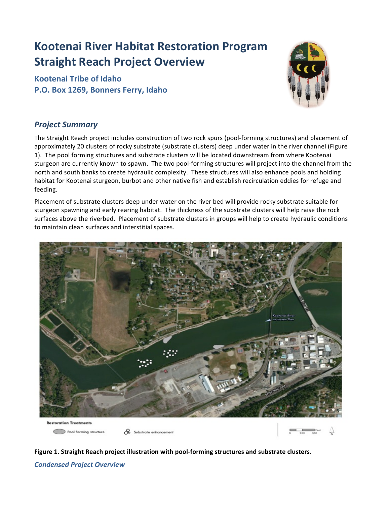## **Kootenai River Habitat Restoration Program Straight Reach Project Overview**

**Kootenai Tribe of Idaho P.O. Box 1269, Bonners Ferry, Idaho** 



## *Project Summary*

The Straight Reach project includes construction of two rock spurs (pool-forming structures) and placement of approximately 20 clusters of rocky substrate (substrate clusters) deep under water in the river channel (Figure 1). The pool forming structures and substrate clusters will be located downstream from where Kootenai sturgeon are currently known to spawn. The two pool-forming structures will project into the channel from the north and south banks to create hydraulic complexity. These structures will also enhance pools and holding habitat for Kootenai sturgeon, burbot and other native fish and establish recirculation eddies for refuge and feeding. 

Placement of substrate clusters deep under water on the river bed will provide rocky substrate suitable for sturgeon spawning and early rearing habitat. The thickness of the substrate clusters will help raise the rock surfaces above the riverbed. Placement of substrate clusters in groups will help to create hydraulic conditions to maintain clean surfaces and interstitial spaces.





*Condensed Project Overview*